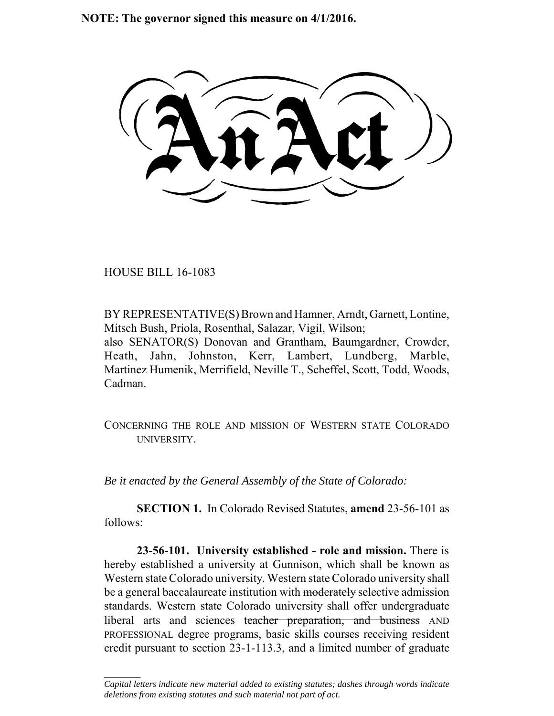**NOTE: The governor signed this measure on 4/1/2016.**

HOUSE BILL 16-1083

 $\frac{1}{2}$ 

BY REPRESENTATIVE(S) Brown and Hamner, Arndt, Garnett, Lontine, Mitsch Bush, Priola, Rosenthal, Salazar, Vigil, Wilson; also SENATOR(S) Donovan and Grantham, Baumgardner, Crowder, Heath, Jahn, Johnston, Kerr, Lambert, Lundberg, Marble, Martinez Humenik, Merrifield, Neville T., Scheffel, Scott, Todd, Woods, Cadman.

CONCERNING THE ROLE AND MISSION OF WESTERN STATE COLORADO **UNIVERSITY** 

*Be it enacted by the General Assembly of the State of Colorado:*

**SECTION 1.** In Colorado Revised Statutes, **amend** 23-56-101 as follows:

**23-56-101. University established - role and mission.** There is hereby established a university at Gunnison, which shall be known as Western state Colorado university. Western state Colorado university shall be a general baccalaureate institution with moderately selective admission standards. Western state Colorado university shall offer undergraduate liberal arts and sciences teacher preparation, and business AND PROFESSIONAL degree programs, basic skills courses receiving resident credit pursuant to section 23-1-113.3, and a limited number of graduate

*Capital letters indicate new material added to existing statutes; dashes through words indicate deletions from existing statutes and such material not part of act.*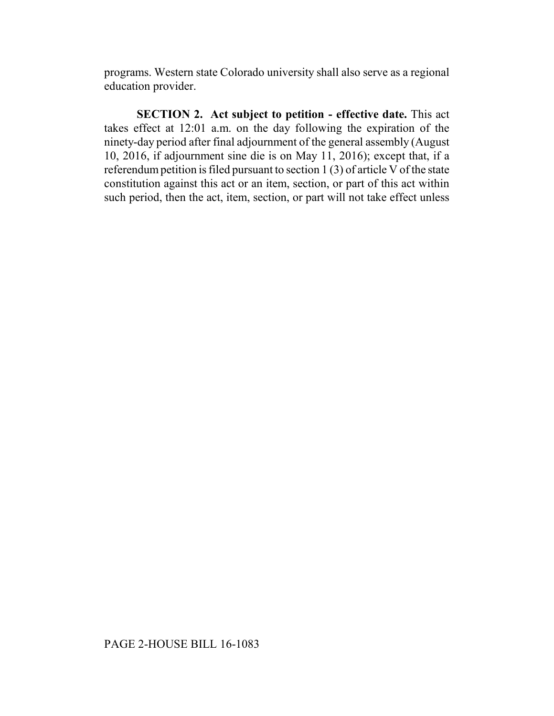programs. Western state Colorado university shall also serve as a regional education provider.

**SECTION 2. Act subject to petition - effective date.** This act takes effect at 12:01 a.m. on the day following the expiration of the ninety-day period after final adjournment of the general assembly (August 10, 2016, if adjournment sine die is on May 11, 2016); except that, if a referendum petition is filed pursuant to section 1 (3) of article V of the state constitution against this act or an item, section, or part of this act within such period, then the act, item, section, or part will not take effect unless